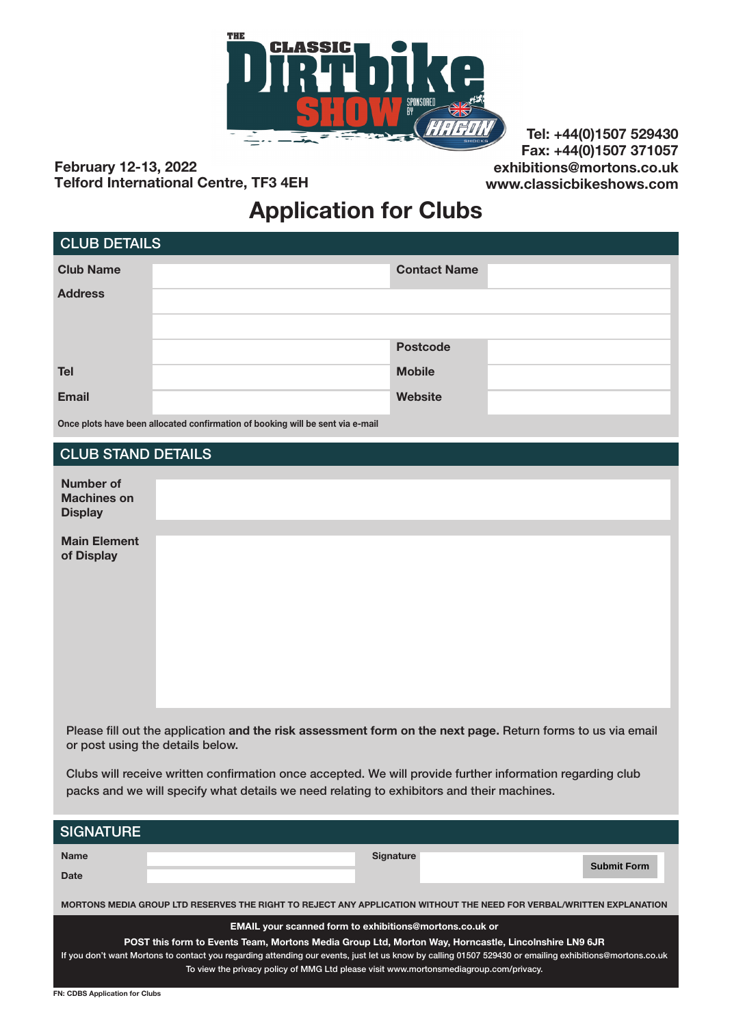

February 12-13, 2022 Telford International Centre, TF3 4EH

Tel: +44(0)1507 529430 Fax: +44(0)1507 371057 exhibitions@mortons.co.uk www.classicbikeshows.com

### Application for Clubs

| <b>CLUB DETAILS</b> |                     |  |
|---------------------|---------------------|--|
| <b>Club Name</b>    | <b>Contact Name</b> |  |
| <b>Address</b>      |                     |  |
|                     |                     |  |
|                     | <b>Postcode</b>     |  |
| <b>Tel</b>          | <b>Mobile</b>       |  |
| <b>Email</b>        | Website             |  |
|                     |                     |  |

Once plots have been allocated confirmation of booking will be sent via e-mail

#### CLUB STAND DETAILS

| <b>Number of</b><br><b>Machines on</b><br><b>Display</b> |  |  |  |
|----------------------------------------------------------|--|--|--|
| <b>Main Element</b><br>of Display                        |  |  |  |

Please fill out the application and the risk assessment form on the next page. Return forms to us via email or post using the details below.

Clubs will receive written confirmation once accepted. We will provide further information regarding club packs and we will specify what details we need relating to exhibitors and their machines.

| <b>SIGNATURE</b>                                                                                                                                        |  |                  |                    |
|---------------------------------------------------------------------------------------------------------------------------------------------------------|--|------------------|--------------------|
| <b>Name</b>                                                                                                                                             |  | <b>Signature</b> |                    |
| Date                                                                                                                                                    |  |                  | <b>Submit Form</b> |
| MORTONS MEDIA GROUP LTD RESERVES THE RIGHT TO REJECT ANY APPLICATION WITHOUT THE NEED FOR VERBAL/WRITTEN EXPLANATION                                    |  |                  |                    |
| <b>EMAIL your scanned form to exhibitions@mortons.co.uk or</b>                                                                                          |  |                  |                    |
| POST this form to Events Team, Mortons Media Group Ltd, Morton Way, Horncastle, Lincolnshire LN9 6JR                                                    |  |                  |                    |
| If you don't want Mortons to contact you regarding attending our events, just let us know by calling 01507 529430 or emailing exhibitions@mortons.co.uk |  |                  |                    |
| To view the privacy policy of MMG Ltd please visit www.mortonsmediagroup.com/privacy.                                                                   |  |                  |                    |